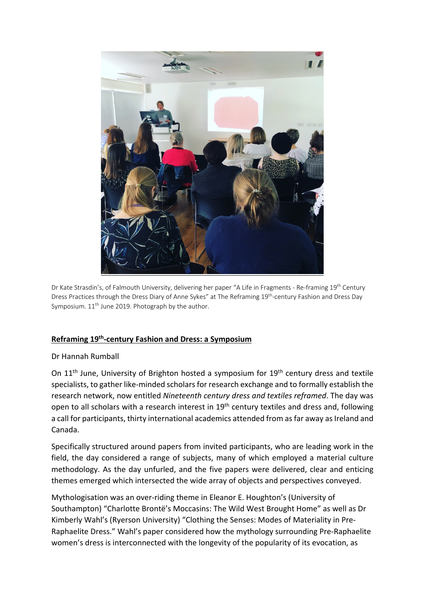

Dr Kate Strasdin's, of Falmouth University, delivering her paper "A Life in Fragments - Re-framing 19th Century Dress Practices through the Dress Diary of Anne Sykes" at The Reframing 19th-century Fashion and Dress Day Symposium.  $11<sup>th</sup>$  June 2019. Photograph by the author.

## **Reframing 19th-century Fashion and Dress: a Symposium**

## Dr Hannah Rumball

On 11<sup>th</sup> June, University of Brighton hosted a symposium for 19<sup>th</sup> century dress and textile specialists, to gather like-minded scholars for research exchange and to formally establish the research network, now entitled *Nineteenth century dress and textiles reframed*. The day was open to all scholars with a research interest in 19<sup>th</sup> century textiles and dress and, following a call for participants, thirty international academics attended from as far away as Ireland and Canada.

Specifically structured around papers from invited participants, who are leading work in the field, the day considered a range of subjects, many of which employed a material culture methodology. As the day unfurled, and the five papers were delivered, clear and enticing themes emerged which intersected the wide array of objects and perspectives conveyed.

Mythologisation was an over-riding theme in Eleanor E. Houghton's (University of Southampton) "Charlotte Brontë's Moccasins: The Wild West Brought Home" as well as Dr Kimberly Wahl's (Ryerson University) "Clothing the Senses: Modes of Materiality in Pre-Raphaelite Dress." Wahl's paper considered how the mythology surrounding Pre-Raphaelite women's dress is interconnected with the longevity of the popularity of its evocation, as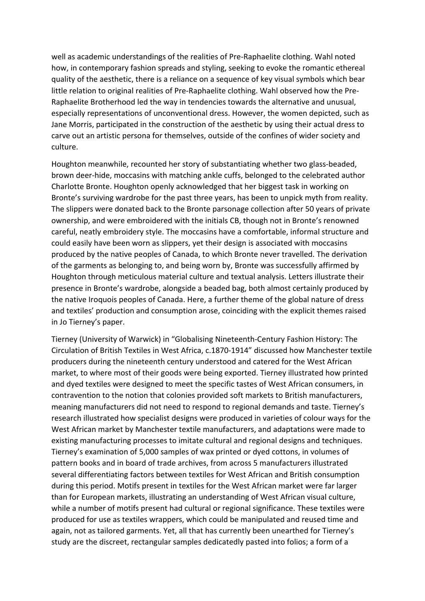well as academic understandings of the realities of Pre-Raphaelite clothing. Wahl noted how, in contemporary fashion spreads and styling, seeking to evoke the romantic ethereal quality of the aesthetic, there is a reliance on a sequence of key visual symbols which bear little relation to original realities of Pre-Raphaelite clothing. Wahl observed how the Pre-Raphaelite Brotherhood led the way in tendencies towards the alternative and unusual, especially representations of unconventional dress. However, the women depicted, such as Jane Morris, participated in the construction of the aesthetic by using their actual dress to carve out an artistic persona for themselves, outside of the confines of wider society and culture.

Houghton meanwhile, recounted her story of substantiating whether two glass-beaded, brown deer-hide, moccasins with matching ankle cuffs, belonged to the celebrated author Charlotte Bronte. Houghton openly acknowledged that her biggest task in working on Bronte's surviving wardrobe for the past three years, has been to unpick myth from reality. The slippers were donated back to the Bronte parsonage collection after 50 years of private ownership, and were embroidered with the initials CB, though not in Bronte's renowned careful, neatly embroidery style. The moccasins have a comfortable, informal structure and could easily have been worn as slippers, yet their design is associated with moccasins produced by the native peoples of Canada, to which Bronte never travelled. The derivation of the garments as belonging to, and being worn by, Bronte was successfully affirmed by Houghton through meticulous material culture and textual analysis. Letters illustrate their presence in Bronte's wardrobe, alongside a beaded bag, both almost certainly produced by the native Iroquois peoples of Canada. Here, a further theme of the global nature of dress and textiles' production and consumption arose, coinciding with the explicit themes raised in Jo Tierney's paper.

Tierney (University of Warwick) in "Globalising Nineteenth-Century Fashion History: The Circulation of British Textiles in West Africa, c.1870-1914" discussed how Manchester textile producers during the nineteenth century understood and catered for the West African market, to where most of their goods were being exported. Tierney illustrated how printed and dyed textiles were designed to meet the specific tastes of West African consumers, in contravention to the notion that colonies provided soft markets to British manufacturers, meaning manufacturers did not need to respond to regional demands and taste. Tierney's research illustrated how specialist designs were produced in varieties of colour ways for the West African market by Manchester textile manufacturers, and adaptations were made to existing manufacturing processes to imitate cultural and regional designs and techniques. Tierney's examination of 5,000 samples of wax printed or dyed cottons, in volumes of pattern books and in board of trade archives, from across 5 manufacturers illustrated several differentiating factors between textiles for West African and British consumption during this period. Motifs present in textiles for the West African market were far larger than for European markets, illustrating an understanding of West African visual culture, while a number of motifs present had cultural or regional significance. These textiles were produced for use as textiles wrappers, which could be manipulated and reused time and again, not as tailored garments. Yet, all that has currently been unearthed for Tierney's study are the discreet, rectangular samples dedicatedly pasted into folios; a form of a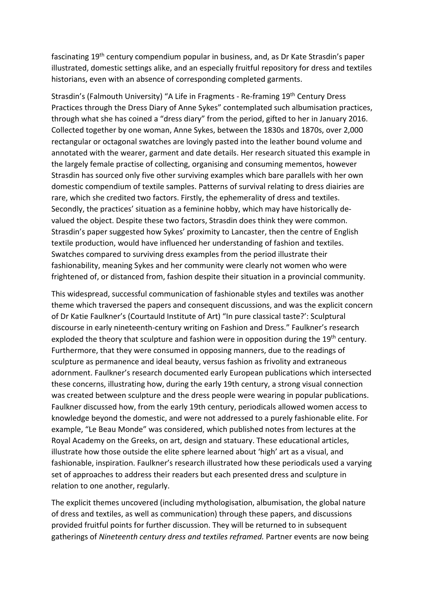fascinating 19th century compendium popular in business, and, as Dr Kate Strasdin's paper illustrated, domestic settings alike, and an especially fruitful repository for dress and textiles historians, even with an absence of corresponding completed garments.

Strasdin's (Falmouth University) "A Life in Fragments - Re-framing 19th Century Dress Practices through the Dress Diary of Anne Sykes" contemplated such albumisation practices, through what she has coined a "dress diary" from the period, gifted to her in January 2016. Collected together by one woman, Anne Sykes, between the 1830s and 1870s, over 2,000 rectangular or octagonal swatches are lovingly pasted into the leather bound volume and annotated with the wearer, garment and date details. Her research situated this example in the largely female practise of collecting, organising and consuming mementos, however Strasdin has sourced only five other surviving examples which bare parallels with her own domestic compendium of textile samples. Patterns of survival relating to dress diairies are rare, which she credited two factors. Firstly, the ephemerality of dress and textiles. Secondly, the practices' situation as a feminine hobby, which may have historically devalued the object. Despite these two factors, Strasdin does think they were common. Strasdin's paper suggested how Sykes' proximity to Lancaster, then the centre of English textile production, would have influenced her understanding of fashion and textiles. Swatches compared to surviving dress examples from the period illustrate their fashionability, meaning Sykes and her community were clearly not women who were frightened of, or distanced from, fashion despite their situation in a provincial community.

This widespread, successful communication of fashionable styles and textiles was another theme which traversed the papers and consequent discussions, and was the explicit concern of Dr Katie Faulkner's (Courtauld Institute of Art) "In pure classical taste?': Sculptural discourse in early nineteenth-century writing on Fashion and Dress." Faulkner's research exploded the theory that sculpture and fashion were in opposition during the 19<sup>th</sup> century. Furthermore, that they were consumed in opposing manners, due to the readings of sculpture as permanence and ideal beauty, versus fashion as frivolity and extraneous adornment. Faulkner's research documented early European publications which intersected these concerns, illustrating how, during the early 19th century, a strong visual connection was created between sculpture and the dress people were wearing in popular publications. Faulkner discussed how, from the early 19th century, periodicals allowed women access to knowledge beyond the domestic, and were not addressed to a purely fashionable elite. For example, "Le Beau Monde" was considered, which published notes from lectures at the Royal Academy on the Greeks, on art, design and statuary. These educational articles, illustrate how those outside the elite sphere learned about 'high' art as a visual, and fashionable, inspiration. Faulkner's research illustrated how these periodicals used a varying set of approaches to address their readers but each presented dress and sculpture in relation to one another, regularly.

The explicit themes uncovered (including mythologisation, albumisation, the global nature of dress and textiles, as well as communication) through these papers, and discussions provided fruitful points for further discussion. They will be returned to in subsequent gatherings of *Nineteenth century dress and textiles reframed.* Partner events are now being